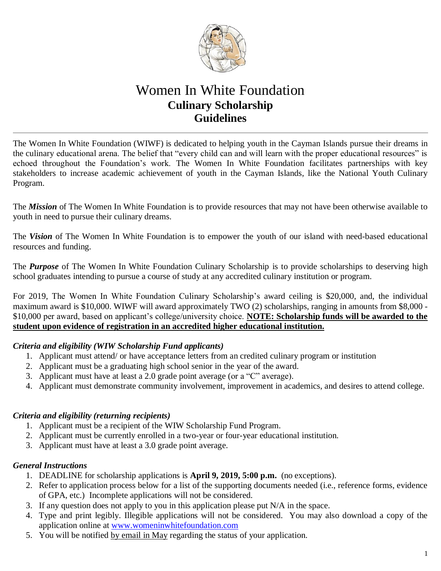

# Women In White Foundation **Culinary Scholarship Guidelines**

The Women In White Foundation (WIWF) is dedicated to helping youth in the Cayman Islands pursue their dreams in the culinary educational arena. The belief that "every child can and will learn with the proper educational resources" is echoed throughout the Foundation's work. The Women In White Foundation facilitates partnerships with key stakeholders to increase academic achievement of youth in the Cayman Islands, like the National Youth Culinary Program.

The *Mission* of The Women In White Foundation is to provide resources that may not have been otherwise available to youth in need to pursue their culinary dreams.

The *Vision* of The Women In White Foundation is to empower the youth of our island with need-based educational resources and funding.

The *Purpose* of The Women In White Foundation Culinary Scholarship is to provide scholarships to deserving high school graduates intending to pursue a course of study at any accredited culinary institution or program.

For 2019, The Women In White Foundation Culinary Scholarship's award ceiling is \$20,000, and, the individual maximum award is \$10,000. WIWF will award approximately TWO (2) scholarships, ranging in amounts from \$8,000 - \$10,000 per award, based on applicant's college/university choice. **NOTE: Scholarship funds will be awarded to the student upon evidence of registration in an accredited higher educational institution.** 

#### *Criteria and eligibility (WIW Scholarship Fund applicants)*

- 1. Applicant must attend/ or have acceptance letters from an credited culinary program or institution
- 2. Applicant must be a graduating high school senior in the year of the award.
- 3. Applicant must have at least a 2.0 grade point average (or a "C" average).
- 4. Applicant must demonstrate community involvement, improvement in academics, and desires to attend college.

#### *Criteria and eligibility (returning recipients)*

- 1. Applicant must be a recipient of the WIW Scholarship Fund Program.
- 2. Applicant must be currently enrolled in a two-year or four-year educational institution.
- 3. Applicant must have at least a 3.0 grade point average.

#### *General Instructions*

- 1. DEADLINE for scholarship applications is **April 9, 2019, 5:00 p.m.** (no exceptions).
- 2. Refer to application process below for a list of the supporting documents needed (i.e., reference forms, evidence of GPA, etc.) Incomplete applications will not be considered.
- 3. If any question does not apply to you in this application please put N/A in the space.
- 4. Type and print legibly. Illegible applications will not be considered. You may also download a copy of the application online at [www.womeninwhitefoundation.com](http://www.womeninwhitefoundation.com/)
- 5. You will be notified by email in May regarding the status of your application.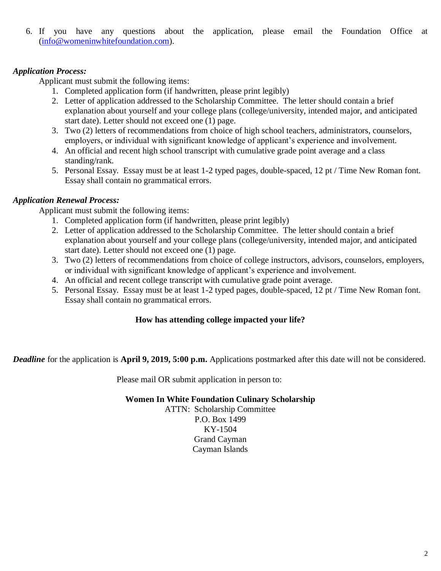6. If you have any questions about the application, please email the Foundation Office at [\(info@womeninwhitefoundation.com\)](mailto:info@womeninwhitefoundation.com).

### *Application Process:*

Applicant must submit the following items:

- 1. Completed application form (if handwritten, please print legibly)
- 2. Letter of application addressed to the Scholarship Committee. The letter should contain a brief explanation about yourself and your college plans (college/university, intended major, and anticipated start date). Letter should not exceed one (1) page.
- 3. Two (2) letters of recommendations from choice of high school teachers, administrators, counselors, employers, or individual with significant knowledge of applicant's experience and involvement.
- 4. An official and recent high school transcript with cumulative grade point average and a class standing/rank.
- 5. Personal Essay. Essay must be at least 1-2 typed pages, double-spaced, 12 pt / Time New Roman font. Essay shall contain no grammatical errors.

### *Application Renewal Process:*

Applicant must submit the following items:

- 1. Completed application form (if handwritten, please print legibly)
- 2. Letter of application addressed to the Scholarship Committee. The letter should contain a brief explanation about yourself and your college plans (college/university, intended major, and anticipated start date). Letter should not exceed one (1) page.
- 3. Two (2) letters of recommendations from choice of college instructors, advisors, counselors, employers, or individual with significant knowledge of applicant's experience and involvement.
- 4. An official and recent college transcript with cumulative grade point average.
- 5. Personal Essay. Essay must be at least 1-2 typed pages, double-spaced, 12 pt / Time New Roman font. Essay shall contain no grammatical errors.

#### **How has attending college impacted your life?**

*Deadline* for the application is **April 9, 2019, 5:00 p.m.** Applications postmarked after this date will not be considered.

Please mail OR submit application in person to:

#### **Women In White Foundation Culinary Scholarship**

ATTN: Scholarship Committee P.O. Box 1499 KY-1504 Grand Cayman Cayman Islands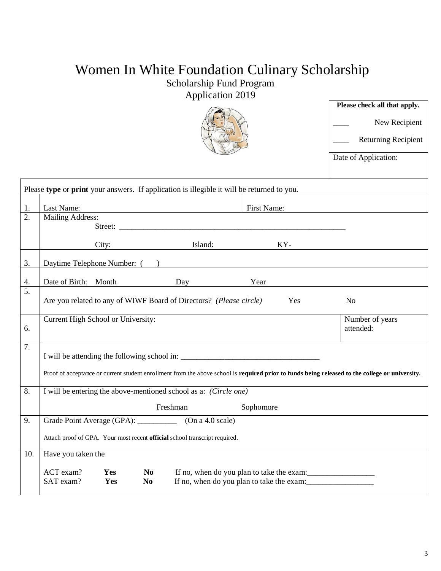# Women In White Foundation Culinary Scholarship

## Scholarship Fund Program

Application 2019

|     |                                                                                                                                                                    | Please check all that apply.<br>New Recipient<br><b>Returning Recipient</b><br>Date of Application: |  |  |  |
|-----|--------------------------------------------------------------------------------------------------------------------------------------------------------------------|-----------------------------------------------------------------------------------------------------|--|--|--|
|     | Please type or print your answers. If application is illegible it will be returned to you.                                                                         |                                                                                                     |  |  |  |
| 1.  | Last Name:<br>First Name:                                                                                                                                          |                                                                                                     |  |  |  |
| 2.  | Mailing Address:                                                                                                                                                   |                                                                                                     |  |  |  |
|     | KY-<br>City: Island:                                                                                                                                               |                                                                                                     |  |  |  |
| 3.  | Daytime Telephone Number: ( )                                                                                                                                      |                                                                                                     |  |  |  |
| 4.  | Date of Birth: Month<br>Day and the Day and the United States of the United States and the United States of the United States and the U<br>Year                    |                                                                                                     |  |  |  |
| 5.  | Are you related to any of WIWF Board of Directors? (Please circle)<br>Yes                                                                                          | No                                                                                                  |  |  |  |
| 6.  | Current High School or University:                                                                                                                                 | Number of years<br>attended:                                                                        |  |  |  |
| 7.  |                                                                                                                                                                    |                                                                                                     |  |  |  |
|     | Proof of acceptance or current student enrollment from the above school is required prior to funds being released to the college or university.                    |                                                                                                     |  |  |  |
| 8.  | I will be entering the above-mentioned school as a: (Circle one)                                                                                                   |                                                                                                     |  |  |  |
|     | Sophomore<br>Freshman                                                                                                                                              |                                                                                                     |  |  |  |
| 9.  | Grade Point Average (GPA):<br>(On a 4.0 scale)                                                                                                                     |                                                                                                     |  |  |  |
|     | Attach proof of GPA. Your most recent official school transcript required.                                                                                         |                                                                                                     |  |  |  |
| 10. | Have you taken the                                                                                                                                                 |                                                                                                     |  |  |  |
|     | ACT exam?<br>Yes<br>N <sub>0</sub><br>If no, when do you plan to take the exam:<br>SAT exam?<br>Yes<br>If no, when do you plan to take the exam:<br>N <sub>0</sub> |                                                                                                     |  |  |  |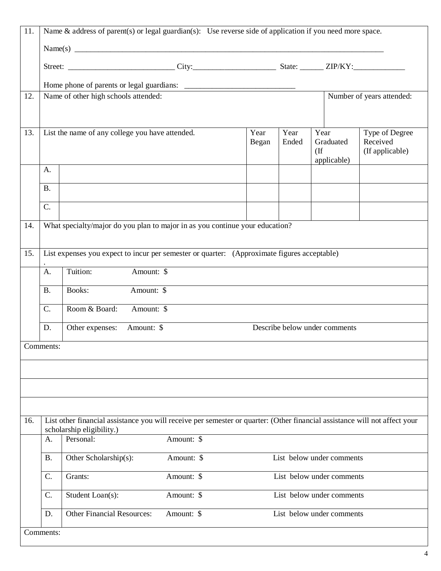| 11. | Name & address of parent(s) or legal guardian(s): Use reverse side of application if you need more space.                                                      |                                                                                             |            |  |  |                           |                           |
|-----|----------------------------------------------------------------------------------------------------------------------------------------------------------------|---------------------------------------------------------------------------------------------|------------|--|--|---------------------------|---------------------------|
|     |                                                                                                                                                                |                                                                                             |            |  |  |                           |                           |
|     |                                                                                                                                                                |                                                                                             |            |  |  |                           |                           |
|     |                                                                                                                                                                |                                                                                             |            |  |  |                           |                           |
| 12. |                                                                                                                                                                | Name of other high schools attended:                                                        |            |  |  |                           | Number of years attended: |
|     |                                                                                                                                                                |                                                                                             |            |  |  |                           |                           |
| 13. | List the name of any college you have attended.<br>Year<br>Year<br>Year<br>Received<br>Graduated<br>Ended<br>Began<br>(If applicable)<br>$($ If<br>applicable) |                                                                                             |            |  |  |                           | Type of Degree            |
|     | A.                                                                                                                                                             |                                                                                             |            |  |  |                           |                           |
|     | <b>B.</b>                                                                                                                                                      |                                                                                             |            |  |  |                           |                           |
|     | C.                                                                                                                                                             |                                                                                             |            |  |  |                           |                           |
| 14. |                                                                                                                                                                | What specialty/major do you plan to major in as you continue your education?                |            |  |  |                           |                           |
|     |                                                                                                                                                                |                                                                                             |            |  |  |                           |                           |
| 15. |                                                                                                                                                                | List expenses you expect to incur per semester or quarter: (Approximate figures acceptable) |            |  |  |                           |                           |
|     | A.                                                                                                                                                             | Tuition:<br>Amount: \$                                                                      |            |  |  |                           |                           |
|     | <b>B.</b>                                                                                                                                                      | Amount: \$<br>Books:                                                                        |            |  |  |                           |                           |
|     | $C_{\cdot}$<br>Room & Board:<br>Amount: \$                                                                                                                     |                                                                                             |            |  |  |                           |                           |
|     | Other expenses:<br>Amount: \$<br>Describe below under comments<br>D.                                                                                           |                                                                                             |            |  |  |                           |                           |
|     | Comments:                                                                                                                                                      |                                                                                             |            |  |  |                           |                           |
|     |                                                                                                                                                                |                                                                                             |            |  |  |                           |                           |
|     |                                                                                                                                                                |                                                                                             |            |  |  |                           |                           |
|     |                                                                                                                                                                |                                                                                             |            |  |  |                           |                           |
| 16. | List other financial assistance you will receive per semester or quarter: (Other financial assistance will not affect your<br>scholarship eligibility.)        |                                                                                             |            |  |  |                           |                           |
|     | A.                                                                                                                                                             | Personal:                                                                                   | Amount: \$ |  |  |                           |                           |
|     | <b>B.</b>                                                                                                                                                      | Other Scholarship(s):                                                                       | Amount: \$ |  |  | List below under comments |                           |
|     | C.                                                                                                                                                             | Grants:                                                                                     | Amount: \$ |  |  | List below under comments |                           |
|     | C.                                                                                                                                                             | Student Loan(s):                                                                            | Amount: \$ |  |  | List below under comments |                           |
|     | D.                                                                                                                                                             | <b>Other Financial Resources:</b>                                                           | Amount: \$ |  |  | List below under comments |                           |
|     | Comments:                                                                                                                                                      |                                                                                             |            |  |  |                           |                           |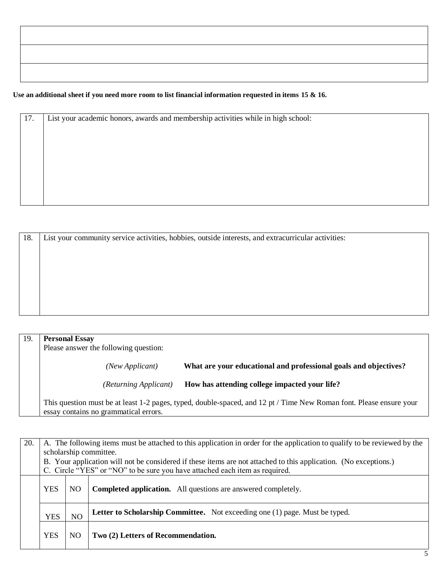#### **Use an additional sheet if you need more room to list financial information requested in items 15 & 16.**

| 17. | List your academic honors, awards and membership activities while in high school: |
|-----|-----------------------------------------------------------------------------------|
|     |                                                                                   |
|     |                                                                                   |
|     |                                                                                   |
|     |                                                                                   |
|     |                                                                                   |

| 18. | List your community service activities, hobbies, outside interests, and extracurricular activities: |  |  |  |  |
|-----|-----------------------------------------------------------------------------------------------------|--|--|--|--|
|     |                                                                                                     |  |  |  |  |
|     |                                                                                                     |  |  |  |  |
|     |                                                                                                     |  |  |  |  |
|     |                                                                                                     |  |  |  |  |
|     |                                                                                                     |  |  |  |  |
|     |                                                                                                     |  |  |  |  |

| 19. | <b>Personal Essay</b><br>Please answer the following question:                                                                                               |                                                                  |  |  |  |
|-----|--------------------------------------------------------------------------------------------------------------------------------------------------------------|------------------------------------------------------------------|--|--|--|
|     | (New Applicant)                                                                                                                                              | What are your educational and professional goals and objectives? |  |  |  |
|     | (Returning Applicant)                                                                                                                                        | How has attending college impacted your life?                    |  |  |  |
|     | This question must be at least 1-2 pages, typed, double-spaced, and 12 pt / Time New Roman font. Please ensure your<br>essay contains no grammatical errors. |                                                                  |  |  |  |

| 20. | A. The following items must be attached to this application in order for the application to qualify to be reviewed by the |    |                                                                      |  |  |
|-----|---------------------------------------------------------------------------------------------------------------------------|----|----------------------------------------------------------------------|--|--|
|     | scholarship committee.                                                                                                    |    |                                                                      |  |  |
|     | B. Your application will not be considered if these items are not attached to this application. (No exceptions.)          |    |                                                                      |  |  |
|     | C. Circle "YES" or "NO" to be sure you have attached each item as required.                                               |    |                                                                      |  |  |
|     | <b>YES</b>                                                                                                                | NO | <b>Completed application.</b> All questions are answered completely. |  |  |
|     | Letter to Scholarship Committee. Not exceeding one (1) page. Must be typed.<br>NO<br><b>YES</b>                           |    |                                                                      |  |  |
|     | <b>YES</b>                                                                                                                | NO | Two (2) Letters of Recommendation.                                   |  |  |